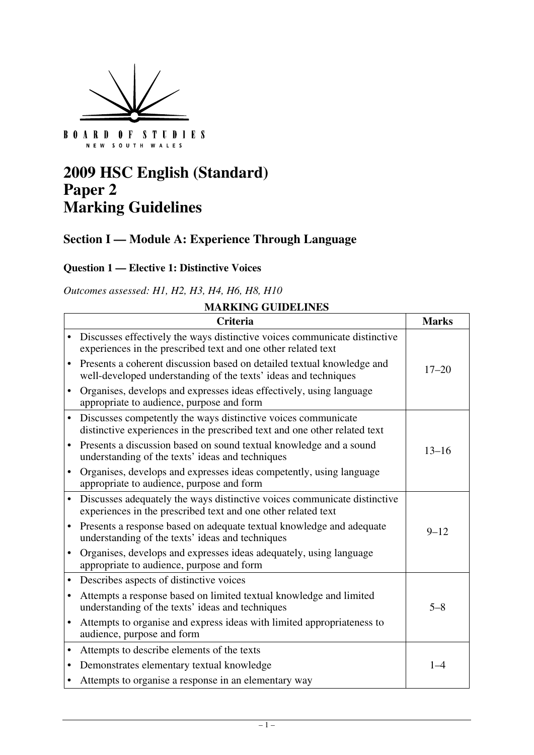

NEW SOUTH WALES

# **2009 HSC English (Standard) Paper 2 Marking Guidelines**

## **Section I — Module A: Experience Through Language**

#### **Question 1 — Elective 1: Distinctive Voices**

*Outcomes assessed: H1, H2, H3, H4, H6, H8, H10* 

|   | MAKNING GUIDELINES<br><b>Criteria</b><br><b>Marks</b>                                                                                      |           |  |
|---|--------------------------------------------------------------------------------------------------------------------------------------------|-----------|--|
|   |                                                                                                                                            |           |  |
|   | Discusses effectively the ways distinctive voices communicate distinctive<br>experiences in the prescribed text and one other related text |           |  |
|   | Presents a coherent discussion based on detailed textual knowledge and<br>well-developed understanding of the texts' ideas and techniques  | $17 - 20$ |  |
|   | Organises, develops and expresses ideas effectively, using language<br>appropriate to audience, purpose and form                           |           |  |
|   | Discusses competently the ways distinctive voices communicate<br>distinctive experiences in the prescribed text and one other related text |           |  |
|   | Presents a discussion based on sound textual knowledge and a sound<br>understanding of the texts' ideas and techniques                     | $13 - 16$ |  |
|   | Organises, develops and expresses ideas competently, using language<br>appropriate to audience, purpose and form                           |           |  |
|   | Discusses adequately the ways distinctive voices communicate distinctive<br>experiences in the prescribed text and one other related text  |           |  |
|   | Presents a response based on adequate textual knowledge and adequate<br>understanding of the texts' ideas and techniques                   | $9 - 12$  |  |
|   | Organises, develops and expresses ideas adequately, using language<br>appropriate to audience, purpose and form                            |           |  |
|   | Describes aspects of distinctive voices                                                                                                    |           |  |
|   | Attempts a response based on limited textual knowledge and limited<br>understanding of the texts' ideas and techniques                     | $5 - 8$   |  |
| ٠ | Attempts to organise and express ideas with limited appropriateness to<br>audience, purpose and form                                       |           |  |
| ٠ | Attempts to describe elements of the texts                                                                                                 |           |  |
| ٠ | Demonstrates elementary textual knowledge                                                                                                  | $1 - 4$   |  |
|   | Attempts to organise a response in an elementary way                                                                                       |           |  |

### **MARKING GUIDELINES**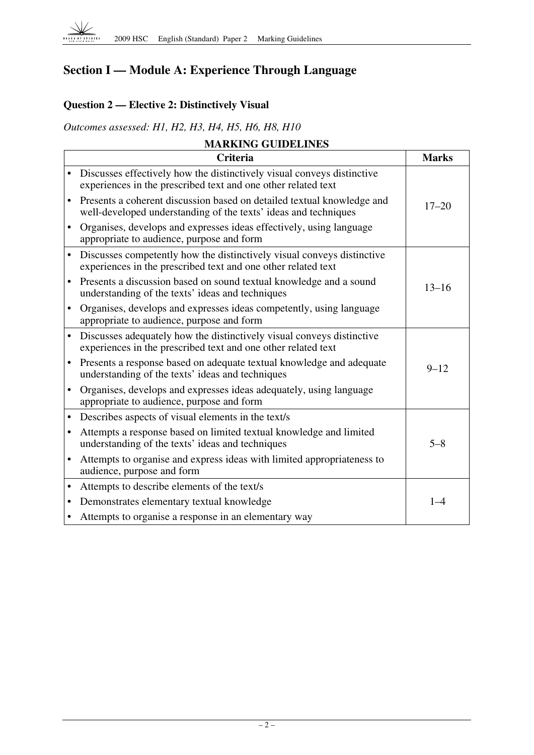

 $\Gamma$ 

# **Section I — Module A: Experience Through Language**

## **Question 2 — Elective 2: Distinctively Visual**

*Outcomes assessed: H1, H2, H3, H4, H5, H6, H8, H10* 

| <b>MARKING GUIDELINES</b> |  |
|---------------------------|--|
| <b>Criteria</b>           |  |

|           | Criteria                                                                                                                                  | <b>Marks</b> |
|-----------|-------------------------------------------------------------------------------------------------------------------------------------------|--------------|
|           | Discusses effectively how the distinctively visual conveys distinctive<br>experiences in the prescribed text and one other related text   |              |
| $\bullet$ | Presents a coherent discussion based on detailed textual knowledge and<br>well-developed understanding of the texts' ideas and techniques | $17 - 20$    |
|           | Organises, develops and expresses ideas effectively, using language<br>appropriate to audience, purpose and form                          |              |
| $\bullet$ | Discusses competently how the distinctively visual conveys distinctive<br>experiences in the prescribed text and one other related text   |              |
|           | Presents a discussion based on sound textual knowledge and a sound<br>understanding of the texts' ideas and techniques                    | $13 - 16$    |
| ٠         | Organises, develops and expresses ideas competently, using language<br>appropriate to audience, purpose and form                          |              |
|           | Discusses adequately how the distinctively visual conveys distinctive<br>experiences in the prescribed text and one other related text    |              |
| ٠         | Presents a response based on adequate textual knowledge and adequate<br>understanding of the texts' ideas and techniques                  | $9 - 12$     |
|           | Organises, develops and expresses ideas adequately, using language<br>appropriate to audience, purpose and form                           |              |
| ٠         | Describes aspects of visual elements in the text/s                                                                                        |              |
| ٠         | Attempts a response based on limited textual knowledge and limited<br>understanding of the texts' ideas and techniques                    | $5 - 8$      |
| $\bullet$ | Attempts to organise and express ideas with limited appropriateness to<br>audience, purpose and form                                      |              |
| ٠         | Attempts to describe elements of the text/s                                                                                               |              |
| ٠         | Demonstrates elementary textual knowledge                                                                                                 | $1 - 4$      |
|           | Attempts to organise a response in an elementary way                                                                                      |              |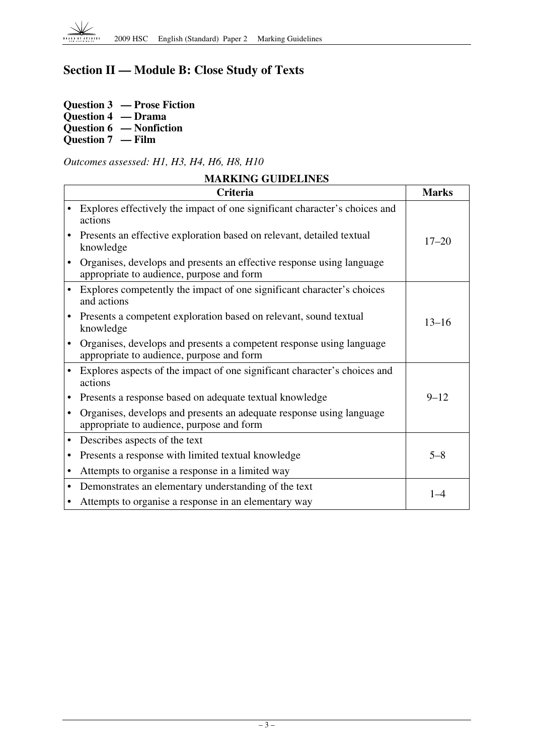

## **Section II — Module B: Close Study of Texts**

**Question 3 — Prose Fiction Question 4 — Drama Question 6 — Nonfiction Question 7 — Film** 

*Outcomes assessed: H1, H3, H4, H6, H8, H10* 

| <b>MARKING GUIDELINES</b> |                                                                                                                    |              |
|---------------------------|--------------------------------------------------------------------------------------------------------------------|--------------|
|                           | Criteria                                                                                                           | <b>Marks</b> |
|                           | Explores effectively the impact of one significant character's choices and<br>actions                              |              |
|                           | Presents an effective exploration based on relevant, detailed textual<br>knowledge                                 | $17 - 20$    |
|                           | Organises, develops and presents an effective response using language<br>appropriate to audience, purpose and form |              |
|                           | Explores competently the impact of one significant character's choices<br>and actions                              |              |
| $\bullet$                 | Presents a competent exploration based on relevant, sound textual<br>knowledge                                     | $13 - 16$    |
| $\bullet$                 | Organises, develops and presents a competent response using language<br>appropriate to audience, purpose and form  |              |
|                           | Explores aspects of the impact of one significant character's choices and<br>actions                               |              |
|                           | Presents a response based on adequate textual knowledge                                                            | $9 - 12$     |
| $\bullet$                 | Organises, develops and presents an adequate response using language<br>appropriate to audience, purpose and form  |              |
| $\bullet$                 | Describes aspects of the text                                                                                      |              |
| $\bullet$                 | Presents a response with limited textual knowledge                                                                 | $5 - 8$      |
| $\bullet$                 | Attempts to organise a response in a limited way                                                                   |              |
| $\bullet$                 | Demonstrates an elementary understanding of the text                                                               | $1 - 4$      |
| $\bullet$                 | Attempts to organise a response in an elementary way                                                               |              |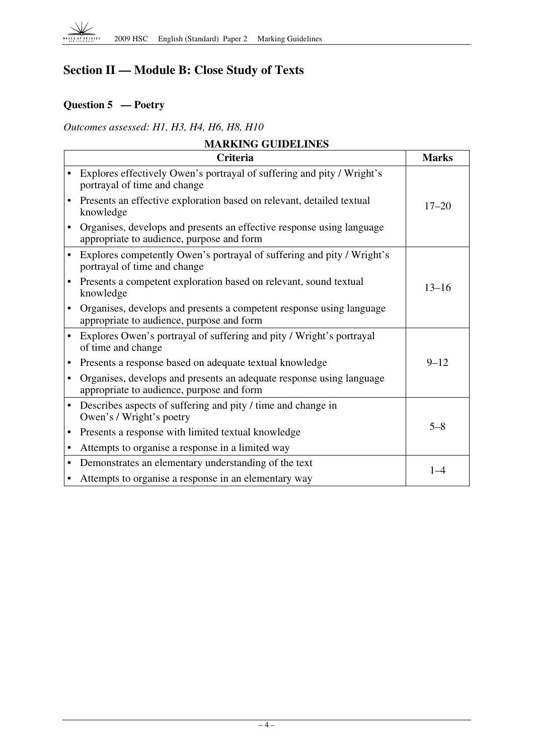

# **Section II — Module B: Close Study of Texts**

## **Question 5 — Poetry**

*Outcomes assessed: H1, H3, H4, H6, H8, H10* 

| <b>MARKING GUIDELINES</b> |                                                                                                                    |              |
|---------------------------|--------------------------------------------------------------------------------------------------------------------|--------------|
|                           | <b>Criteria</b>                                                                                                    | <b>Marks</b> |
|                           | Explores effectively Owen's portrayal of suffering and pity / Wright's<br>portrayal of time and change             |              |
|                           | Presents an effective exploration based on relevant, detailed textual<br>knowledge                                 | $17 - 20$    |
|                           | Organises, develops and presents an effective response using language<br>appropriate to audience, purpose and form |              |
|                           | Explores competently Owen's portrayal of suffering and pity / Wright's<br>portrayal of time and change             |              |
| $\bullet$                 | Presents a competent exploration based on relevant, sound textual<br>knowledge                                     | $13 - 16$    |
|                           | Organises, develops and presents a competent response using language<br>appropriate to audience, purpose and form  |              |
| $\bullet$                 | Explores Owen's portrayal of suffering and pity / Wright's portrayal<br>of time and change                         |              |
| $\bullet$                 | Presents a response based on adequate textual knowledge                                                            | $9 - 12$     |
| $\bullet$                 | Organises, develops and presents an adequate response using language<br>appropriate to audience, purpose and form  |              |
| $\bullet$                 | Describes aspects of suffering and pity / time and change in<br>Owen's / Wright's poetry                           |              |
| $\bullet$                 | Presents a response with limited textual knowledge                                                                 | $5 - 8$      |
|                           | Attempts to organise a response in a limited way                                                                   |              |
| $\bullet$                 | Demonstrates an elementary understanding of the text                                                               | $1 - 4$      |
|                           | Attempts to organise a response in an elementary way                                                               |              |